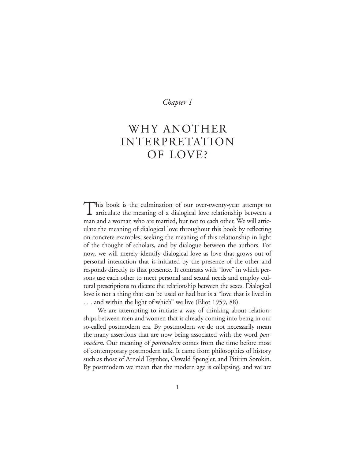## *Chapter 1*

## WHY ANOTHER INTERPRETATION OF LOVE?

This book is the culmination of our over-twenty-year attempt to articulate the meaning of a dialogical love relationship between a man and a woman who are married, but not to each other. We will articulate the meaning of dialogical love throughout this book by reflecting on concrete examples, seeking the meaning of this relationship in light of the thought of scholars, and by dialogue between the authors. For now, we will merely identify dialogical love as love that grows out of personal interaction that is initiated by the presence of the other and responds directly to that presence. It contrasts with "love" in which persons use each other to meet personal and sexual needs and employ cultural prescriptions to dictate the relationship between the sexes. Dialogical love is not a thing that can be used or had but is a "love that is lived in . . . and within the light of which" we live (Eliot 1959, 88).

We are attempting to initiate a way of thinking about relationships between men and women that is already coming into being in our so-called postmodern era. By postmodern we do not necessarily mean the many assertions that are now being associated with the word *postmodern*. Our meaning of *postmodern* comes from the time before most of contemporary postmodern talk. It came from philosophies of history such as those of Arnold Toynbee, Oswald Spengler, and Pitirim Sorokin. By postmodern we mean that the modern age is collapsing, and we are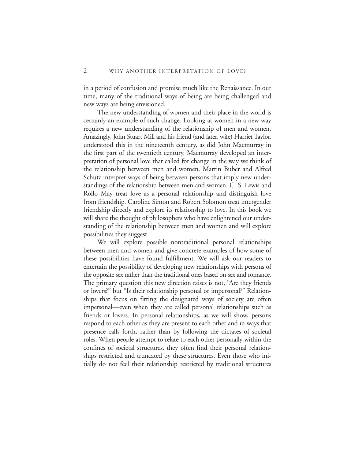in a period of confusion and promise much like the Renaissance. In our time, many of the traditional ways of being are being challenged and new ways are being envisioned.

The new understanding of women and their place in the world is certainly an example of such change. Looking at women in a new way requires a new understanding of the relationship of men and women. Amazingly, John Stuart Mill and his friend (and later, wife) Harriet Taylor, understood this in the nineteenth century, as did John Macmurray in the first part of the twentieth century. Macmurray developed an interpretation of personal love that called for change in the way we think of the relationship between men and women. Martin Buber and Alfred Schutz interpret ways of being between persons that imply new understandings of the relationship between men and women. C. S. Lewis and Rollo May treat love as a personal relationship and distinguish love from friendship. Caroline Simon and Robert Solomon treat intergender friendship directly and explore its relationship to love. In this book we will share the thought of philosophers who have enlightened our understanding of the relationship between men and women and will explore possibilities they suggest.

We will explore possible nontraditional personal relationships between men and women and give concrete examples of how some of these possibilities have found fulfillment. We will ask our readers to entertain the possibility of developing new relationships with persons of the opposite sex rather than the traditional ones based on sex and romance. The primary question this new direction raises is not, "Are they friends or lovers?" but "Is their relationship personal or impersonal?" Relationships that focus on fitting the designated ways of society are often impersonal—even when they are called personal relationships such as friends or lovers. In personal relationships, as we will show, persons respond to each other as they are present to each other and in ways that presence calls forth, rather than by following the dictates of societal roles. When people attempt to relate to each other personally within the confines of societal structures, they often find their personal relationships restricted and truncated by these structures. Even those who initially do not feel their relationship restricted by traditional structures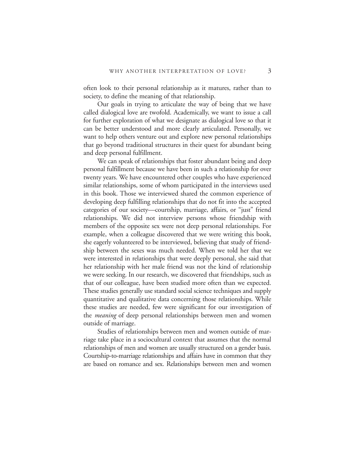often look to their personal relationship as it matures, rather than to society, to define the meaning of that relationship.

Our goals in trying to articulate the way of being that we have called dialogical love are twofold. Academically, we want to issue a call for further exploration of what we designate as dialogical love so that it can be better understood and more clearly articulated. Personally, we want to help others venture out and explore new personal relationships that go beyond traditional structures in their quest for abundant being and deep personal fulfillment.

We can speak of relationships that foster abundant being and deep personal fulfillment because we have been in such a relationship for over twenty years. We have encountered other couples who have experienced similar relationships, some of whom participated in the interviews used in this book. Those we interviewed shared the common experience of developing deep fulfilling relationships that do not fit into the accepted categories of our society—courtship, marriage, affairs, or "just" friend relationships. We did not interview persons whose friendship with members of the opposite sex were not deep personal relationships. For example, when a colleague discovered that we were writing this book, she eagerly volunteered to be interviewed, believing that study of friendship between the sexes was much needed. When we told her that we were interested in relationships that were deeply personal, she said that her relationship with her male friend was not the kind of relationship we were seeking. In our research, we discovered that friendships, such as that of our colleague, have been studied more often than we expected. These studies generally use standard social science techniques and supply quantitative and qualitative data concerning those relationships. While these studies are needed, few were significant for our investigation of the *meaning* of deep personal relationships between men and women outside of marriage.

Studies of relationships between men and women outside of marriage take place in a sociocultural context that assumes that the normal relationships of men and women are usually structured on a gender basis. Courtship-to-marriage relationships and affairs have in common that they are based on romance and sex. Relationships between men and women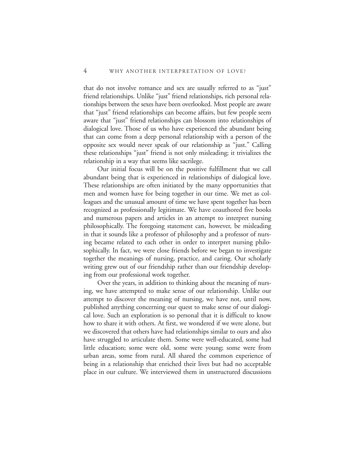that do not involve romance and sex are usually referred to as "just" friend relationships. Unlike "just" friend relationships, rich personal relationships between the sexes have been overlooked. Most people are aware that "just" friend relationships can become affairs, but few people seem aware that "just" friend relationships can blossom into relationships of dialogical love. Those of us who have experienced the abundant being that can come from a deep personal relationship with a person of the opposite sex would never speak of our relationship as "just." Calling these relationships "just" friend is not only misleading; it trivializes the relationship in a way that seems like sacrilege.

Our initial focus will be on the positive fulfillment that we call abundant being that is experienced in relationships of dialogical love. These relationships are often initiated by the many opportunities that men and women have for being together in our time. We met as colleagues and the unusual amount of time we have spent together has been recognized as professionally legitimate. We have coauthored five books and numerous papers and articles in an attempt to interpret nursing philosophically. The foregoing statement can, however, be misleading in that it sounds like a professor of philosophy and a professor of nursing became related to each other in order to interpret nursing philosophically. In fact, we were close friends before we began to investigate together the meanings of nursing, practice, and caring. Our scholarly writing grew out of our friendship rather than our friendship developing from our professional work together.

Over the years, in addition to thinking about the meaning of nursing, we have attempted to make sense of our relationship. Unlike our attempt to discover the meaning of nursing, we have not, until now, published anything concerning our quest to make sense of our dialogical love. Such an exploration is so personal that it is difficult to know how to share it with others. At first, we wondered if we were alone, but we discovered that others have had relationships similar to ours and also have struggled to articulate them. Some were well-educated, some had little education; some were old, some were young; some were from urban areas, some from rural. All shared the common experience of being in a relationship that enriched their lives but had no acceptable place in our culture. We interviewed them in unstructured discussions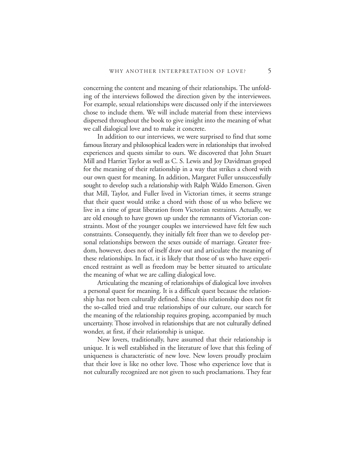concerning the content and meaning of their relationships. The unfolding of the interviews followed the direction given by the interviewees. For example, sexual relationships were discussed only if the interviewees chose to include them. We will include material from these interviews dispersed throughout the book to give insight into the meaning of what we call dialogical love and to make it concrete.

In addition to our interviews, we were surprised to find that some famous literary and philosophical leaders were in relationships that involved experiences and quests similar to ours. We discovered that John Stuart Mill and Harriet Taylor as well as C. S. Lewis and Joy Davidman groped for the meaning of their relationship in a way that strikes a chord with our own quest for meaning. In addition, Margaret Fuller unsuccessfully sought to develop such a relationship with Ralph Waldo Emerson. Given that Mill, Taylor, and Fuller lived in Victorian times, it seems strange that their quest would strike a chord with those of us who believe we live in a time of great liberation from Victorian restraints. Actually, we are old enough to have grown up under the remnants of Victorian constraints. Most of the younger couples we interviewed have felt few such constraints. Consequently, they initially felt freer than we to develop personal relationships between the sexes outside of marriage. Greater freedom, however, does not of itself draw out and articulate the meaning of these relationships. In fact, it is likely that those of us who have experienced restraint as well as freedom may be better situated to articulate the meaning of what we are calling dialogical love.

Articulating the meaning of relationships of dialogical love involves a personal quest for meaning. It is a difficult quest because the relationship has not been culturally defined. Since this relationship does not fit the so-called tried and true relationships of our culture, our search for the meaning of the relationship requires groping, accompanied by much uncertainty. Those involved in relationships that are not culturally defined wonder, at first, if their relationship is unique.

New lovers, traditionally, have assumed that their relationship is unique. It is well established in the literature of love that this feeling of uniqueness is characteristic of new love. New lovers proudly proclaim that their love is like no other love. Those who experience love that is not culturally recognized are not given to such proclamations. They fear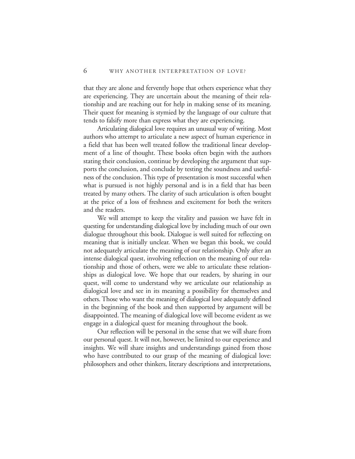that they are alone and fervently hope that others experience what they are experiencing. They are uncertain about the meaning of their relationship and are reaching out for help in making sense of its meaning. Their quest for meaning is stymied by the language of our culture that tends to falsify more than express what they are experiencing.

Articulating dialogical love requires an unusual way of writing. Most authors who attempt to articulate a new aspect of human experience in a field that has been well treated follow the traditional linear development of a line of thought. These books often begin with the authors stating their conclusion, continue by developing the argument that supports the conclusion, and conclude by testing the soundness and usefulness of the conclusion. This type of presentation is most successful when what is pursued is not highly personal and is in a field that has been treated by many others. The clarity of such articulation is often bought at the price of a loss of freshness and excitement for both the writers and the readers.

We will attempt to keep the vitality and passion we have felt in questing for understanding dialogical love by including much of our own dialogue throughout this book. Dialogue is well suited for reflecting on meaning that is initially unclear. When we began this book, we could not adequately articulate the meaning of our relationship. Only after an intense dialogical quest, involving reflection on the meaning of our relationship and those of others, were we able to articulate these relationships as dialogical love. We hope that our readers, by sharing in our quest, will come to understand why we articulate our relationship as dialogical love and see in its meaning a possibility for themselves and others. Those who want the meaning of dialogical love adequately defined in the beginning of the book and then supported by argument will be disappointed. The meaning of dialogical love will become evident as we engage in a dialogical quest for meaning throughout the book.

Our reflection will be personal in the sense that we will share from our personal quest. It will not, however, be limited to our experience and insights. We will share insights and understandings gained from those who have contributed to our grasp of the meaning of dialogical love: philosophers and other thinkers, literary descriptions and interpretations,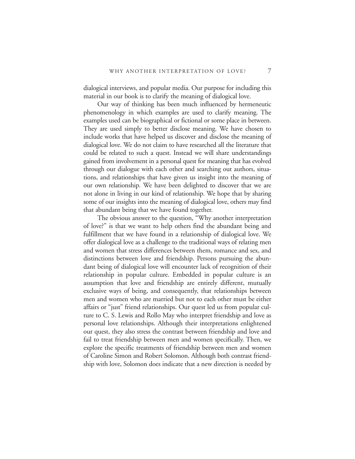dialogical interviews, and popular media. Our purpose for including this material in our book is to clarify the meaning of dialogical love.

Our way of thinking has been much influenced by hermeneutic phenomenology in which examples are used to clarify meaning. The examples used can be biographical or fictional or some place in between. They are used simply to better disclose meaning. We have chosen to include works that have helped us discover and disclose the meaning of dialogical love. We do not claim to have researched all the literature that could be related to such a quest. Instead we will share understandings gained from involvement in a personal quest for meaning that has evolved through our dialogue with each other and searching out authors, situations, and relationships that have given us insight into the meaning of our own relationship. We have been delighted to discover that we are not alone in living in our kind of relationship. We hope that by sharing some of our insights into the meaning of dialogical love, others may find that abundant being that we have found together.

The obvious answer to the question, "Why another interpretation of love?" is that we want to help others find the abundant being and fulfillment that we have found in a relationship of dialogical love. We offer dialogical love as a challenge to the traditional ways of relating men and women that stress differences between them, romance and sex, and distinctions between love and friendship. Persons pursuing the abundant being of dialogical love will encounter lack of recognition of their relationship in popular culture. Embedded in popular culture is an assumption that love and friendship are entirely different, mutually exclusive ways of being, and consequently, that relationships between men and women who are married but not to each other must be either affairs or "just" friend relationships. Our quest led us from popular culture to C. S. Lewis and Rollo May who interpret friendship and love as personal love relationships. Although their interpretations enlightened our quest, they also stress the contrast between friendship and love and fail to treat friendship between men and women specifically. Then, we explore the specific treatments of friendship between men and women of Caroline Simon and Robert Solomon. Although both contrast friendship with love, Solomon does indicate that a new direction is needed by